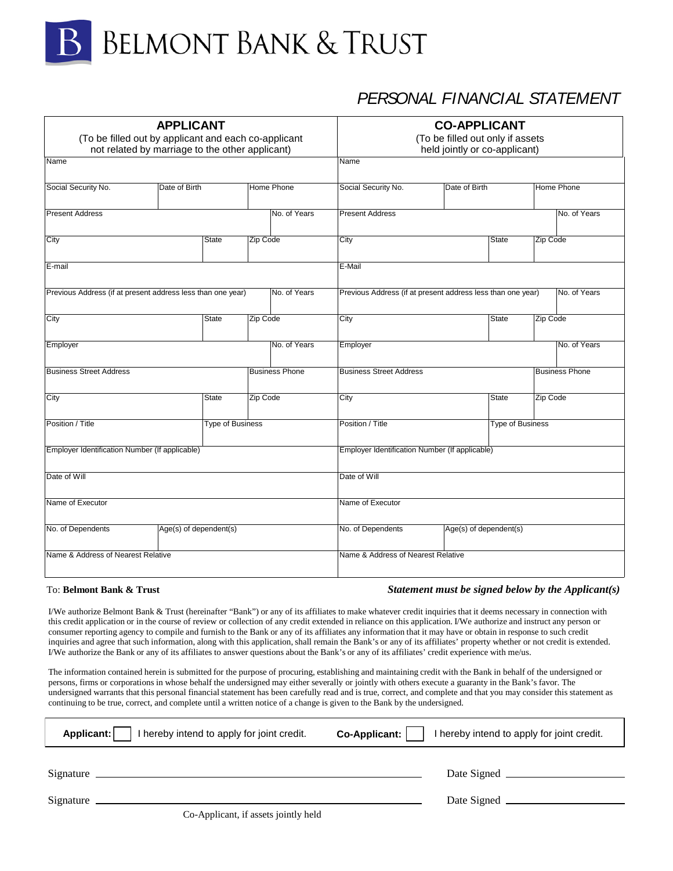

# *PERSONAL FINANCIAL STATEMENT*

| <b>APPLICANT</b><br>(To be filled out by applicant and each co-applicant<br>not related by marriage to the other applicant) |                        |                  | <b>CO-APPLICANT</b><br>(To be filled out only if assets<br>held jointly or co-applicant) |                                   |                                                             |                        |                  |                   |                       |
|-----------------------------------------------------------------------------------------------------------------------------|------------------------|------------------|------------------------------------------------------------------------------------------|-----------------------------------|-------------------------------------------------------------|------------------------|------------------|-------------------|-----------------------|
| Name                                                                                                                        |                        |                  |                                                                                          |                                   | Name                                                        |                        |                  |                   |                       |
| Social Security No.                                                                                                         | Date of Birth          |                  |                                                                                          | Social Security No.<br>Home Phone |                                                             | Date of Birth          |                  | <b>Home Phone</b> |                       |
| <b>Present Address</b>                                                                                                      |                        |                  | No. of Years                                                                             |                                   | <b>Present Address</b>                                      |                        |                  | No. of Years      |                       |
| City                                                                                                                        |                        | State            | Zip Code                                                                                 |                                   | City                                                        |                        | <b>State</b>     | Zip Code          |                       |
| E-mail                                                                                                                      |                        |                  |                                                                                          |                                   | E-Mail                                                      |                        |                  |                   |                       |
| Previous Address (if at present address less than one year)                                                                 |                        |                  |                                                                                          | No. of Years                      | Previous Address (if at present address less than one year) |                        |                  |                   | No. of Years          |
| City                                                                                                                        |                        | <b>State</b>     | Zip Code                                                                                 |                                   | City<br>State                                               |                        | Zip Code         |                   |                       |
| Employer                                                                                                                    |                        |                  |                                                                                          | No. of Years                      | Employer                                                    |                        |                  |                   | No. of Years          |
| <b>Business Street Address</b>                                                                                              |                        |                  |                                                                                          | <b>Business Phone</b>             | <b>Business Street Address</b>                              |                        |                  |                   | <b>Business Phone</b> |
| City                                                                                                                        |                        | <b>State</b>     | Zip Code                                                                                 |                                   | City                                                        |                        | <b>State</b>     | Zip Code          |                       |
| Position / Title                                                                                                            |                        | Type of Business |                                                                                          |                                   | Position / Title                                            |                        | Type of Business |                   |                       |
| Employer Identification Number (If applicable)                                                                              |                        |                  |                                                                                          |                                   | Employer Identification Number (If applicable)              |                        |                  |                   |                       |
| Date of Will                                                                                                                |                        |                  |                                                                                          |                                   | Date of Will                                                |                        |                  |                   |                       |
| Name of Executor                                                                                                            |                        |                  |                                                                                          |                                   | Name of Executor                                            |                        |                  |                   |                       |
| No. of Dependents                                                                                                           | Age(s) of dependent(s) |                  |                                                                                          |                                   | No. of Dependents                                           | Age(s) of dependent(s) |                  |                   |                       |
| Name & Address of Nearest Relative                                                                                          |                        |                  |                                                                                          |                                   | Name & Address of Nearest Relative                          |                        |                  |                   |                       |

#### To: **Belmont Bank & Trust**

#### *Statement must be signed below by the Applicant(s)*

I/We authorize Belmont Bank & Trust (hereinafter "Bank") or any of its affiliates to make whatever credit inquiries that it deems necessary in connection with this credit application or in the course of review or collection of any credit extended in reliance on this application. I/We authorize and instruct any person or consumer reporting agency to compile and furnish to the Bank or any of its affiliates any information that it may have or obtain in response to such credit inquiries and agree that such information, along with this application, shall remain the Bank's or any of its affiliates' property whether or not credit is extended. I/We authorize the Bank or any of its affiliates to answer questions about the Bank's or any of its affiliates' credit experience with me/us.

The information contained herein is submitted for the purpose of procuring, establishing and maintaining credit with the Bank in behalf of the undersigned or persons, firms or corporations in whose behalf the undersigned may either severally or jointly with others execute a guaranty in the Bank's favor. The undersigned warrants that this personal financial statement has been carefully read and is true, correct, and complete and that you may consider this statement as continuing to be true, correct, and complete until a written notice of a change is given to the Bank by the undersigned.

| hereby intend to apply for joint credit.<br>Applicant: | hereby intend to apply for joint credit.<br>Co-Applicant: |
|--------------------------------------------------------|-----------------------------------------------------------|
| Signature                                              | Date Signed _______                                       |
|                                                        |                                                           |

Co-Applicant, if assets jointly held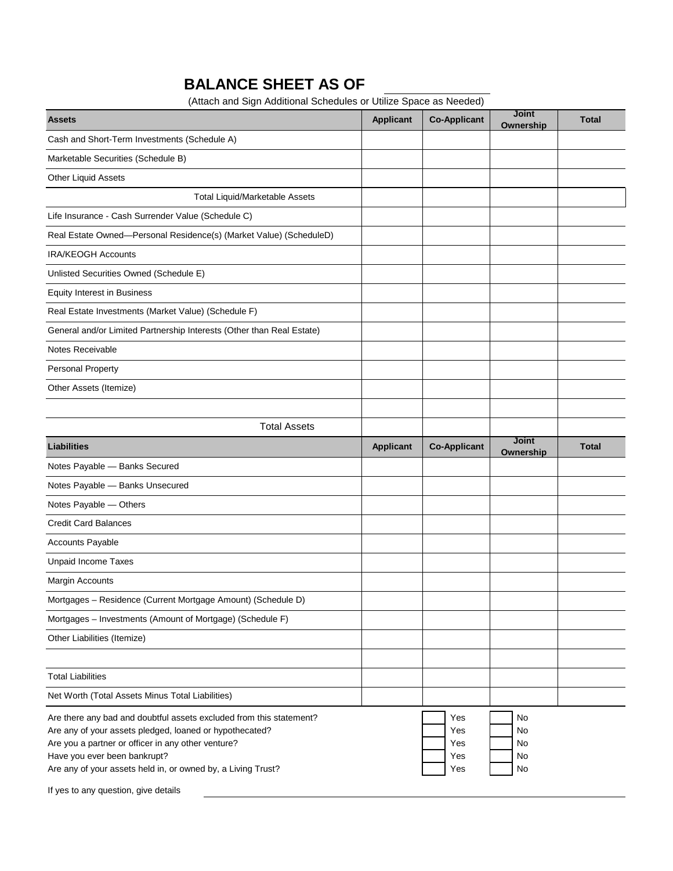# **BALANCE SHEET AS OF**

(Attach and Sign Additional Schedules or Utilize Space as Needed)

| <b>Assets</b>                                                                                                                                                                                                                                                                                                                | <b>Applicant</b> | <b>Co-Applicant</b>             | <b>Joint</b><br>Ownership  | <b>Total</b> |
|------------------------------------------------------------------------------------------------------------------------------------------------------------------------------------------------------------------------------------------------------------------------------------------------------------------------------|------------------|---------------------------------|----------------------------|--------------|
| Cash and Short-Term Investments (Schedule A)                                                                                                                                                                                                                                                                                 |                  |                                 |                            |              |
| Marketable Securities (Schedule B)                                                                                                                                                                                                                                                                                           |                  |                                 |                            |              |
| <b>Other Liquid Assets</b>                                                                                                                                                                                                                                                                                                   |                  |                                 |                            |              |
| <b>Total Liquid/Marketable Assets</b>                                                                                                                                                                                                                                                                                        |                  |                                 |                            |              |
| Life Insurance - Cash Surrender Value (Schedule C)                                                                                                                                                                                                                                                                           |                  |                                 |                            |              |
| Real Estate Owned-Personal Residence(s) (Market Value) (ScheduleD)                                                                                                                                                                                                                                                           |                  |                                 |                            |              |
| <b>IRA/KEOGH Accounts</b>                                                                                                                                                                                                                                                                                                    |                  |                                 |                            |              |
| Unlisted Securities Owned (Schedule E)                                                                                                                                                                                                                                                                                       |                  |                                 |                            |              |
| <b>Equity Interest in Business</b>                                                                                                                                                                                                                                                                                           |                  |                                 |                            |              |
| Real Estate Investments (Market Value) (Schedule F)                                                                                                                                                                                                                                                                          |                  |                                 |                            |              |
| General and/or Limited Partnership Interests (Other than Real Estate)                                                                                                                                                                                                                                                        |                  |                                 |                            |              |
| Notes Receivable                                                                                                                                                                                                                                                                                                             |                  |                                 |                            |              |
| Personal Property                                                                                                                                                                                                                                                                                                            |                  |                                 |                            |              |
| Other Assets (Itemize)                                                                                                                                                                                                                                                                                                       |                  |                                 |                            |              |
|                                                                                                                                                                                                                                                                                                                              |                  |                                 |                            |              |
| <b>Total Assets</b>                                                                                                                                                                                                                                                                                                          |                  |                                 |                            |              |
| <b>Liabilities</b>                                                                                                                                                                                                                                                                                                           | <b>Applicant</b> | <b>Co-Applicant</b>             | <b>Joint</b><br>Ownership  | <b>Total</b> |
| Notes Payable - Banks Secured                                                                                                                                                                                                                                                                                                |                  |                                 |                            |              |
| Notes Payable - Banks Unsecured                                                                                                                                                                                                                                                                                              |                  |                                 |                            |              |
| Notes Payable - Others                                                                                                                                                                                                                                                                                                       |                  |                                 |                            |              |
| <b>Credit Card Balances</b>                                                                                                                                                                                                                                                                                                  |                  |                                 |                            |              |
| <b>Accounts Payable</b>                                                                                                                                                                                                                                                                                                      |                  |                                 |                            |              |
| <b>Unpaid Income Taxes</b>                                                                                                                                                                                                                                                                                                   |                  |                                 |                            |              |
| Margin Accounts                                                                                                                                                                                                                                                                                                              |                  |                                 |                            |              |
| Mortgages - Residence (Current Mortgage Amount) (Schedule D)                                                                                                                                                                                                                                                                 |                  |                                 |                            |              |
| Mortgages - Investments (Amount of Mortgage) (Schedule F)                                                                                                                                                                                                                                                                    |                  |                                 |                            |              |
| Other Liabilities (Itemize)                                                                                                                                                                                                                                                                                                  |                  |                                 |                            |              |
|                                                                                                                                                                                                                                                                                                                              |                  |                                 |                            |              |
| <b>Total Liabilities</b>                                                                                                                                                                                                                                                                                                     |                  |                                 |                            |              |
| Net Worth (Total Assets Minus Total Liabilities)                                                                                                                                                                                                                                                                             |                  |                                 |                            |              |
| Are there any bad and doubtful assets excluded from this statement?<br>Are any of your assets pledged, loaned or hypothecated?<br>Are you a partner or officer in any other venture?<br>Have you ever been bankrupt?<br>Are any of your assets held in, or owned by, a Living Trust?<br>If yes to any question, give details |                  | Yes<br>Yes<br>Yes<br>Yes<br>Yes | No<br>No<br>No<br>No<br>No |              |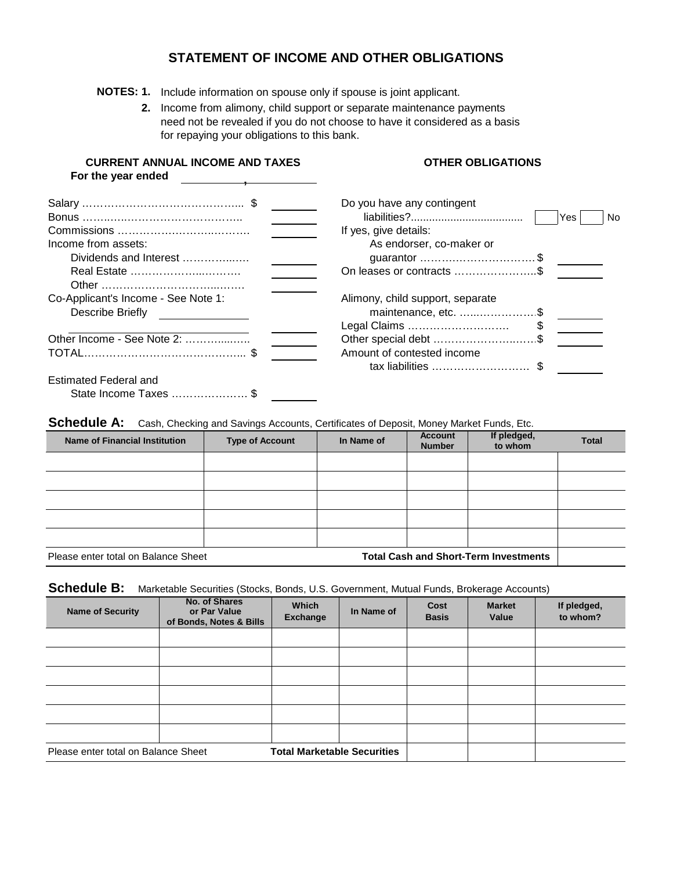### **STATEMENT OF INCOME AND OTHER OBLIGATIONS**

**NOTES: 1.** Include information on spouse only if spouse is joint applicant.

**CURRENT ANNUAL INCOME AND TAXES**

**2.** Income from alimony, child support or separate maintenance payments need not be revealed if you do not choose to have it considered as a basis for repaying your obligations to this bank.

**OTHER OBLIGATIONS**

| For the year ended                                      |                                                                                               |
|---------------------------------------------------------|-----------------------------------------------------------------------------------------------|
| Income from assets:<br>Dividends and Interest           | Do you have any contingent<br>Yes<br>No.<br>If yes, give details:<br>As endorser, co-maker or |
| Real Estate                                             | On leases or contracts \$                                                                     |
| Co-Applicant's Income - See Note 1:<br>Describe Briefly | Alimony, child support, separate<br>maintenance, etc. \$<br>Legal Claims                      |
| Other Income - See Note 2:                              | Other special debt \$                                                                         |
|                                                         | Amount of contested income<br>tax liabilities  \$                                             |
| <b>Estimated Federal and</b>                            |                                                                                               |
| State Income Taxes  \$                                  |                                                                                               |

Schedule A: Cash, Checking and Savings Accounts, Certificates of Deposit, Money Market Funds, Etc.

| <b>Name of Financial Institution</b> | <b>Type of Account</b> | In Name of | <b>Account</b><br><b>Number</b> | If pledged,<br>to whom                       | <b>Total</b> |
|--------------------------------------|------------------------|------------|---------------------------------|----------------------------------------------|--------------|
|                                      |                        |            |                                 |                                              |              |
|                                      |                        |            |                                 |                                              |              |
|                                      |                        |            |                                 |                                              |              |
|                                      |                        |            |                                 |                                              |              |
|                                      |                        |            |                                 |                                              |              |
| Please enter total on Balance Sheet  |                        |            |                                 | <b>Total Cash and Short-Term Investments</b> |              |

Schedule B: Marketable Securities (Stocks, Bonds, U.S. Government, Mutual Funds, Brokerage Accounts)

| <b>Name of Security</b>             | No. of Shares<br>or Par Value<br>of Bonds, Notes & Bills | <b>Which</b><br><b>Exchange</b>    | In Name of | Cost<br><b>Basis</b> | <b>Market</b><br>Value | If pledged,<br>to whom? |
|-------------------------------------|----------------------------------------------------------|------------------------------------|------------|----------------------|------------------------|-------------------------|
|                                     |                                                          |                                    |            |                      |                        |                         |
|                                     |                                                          |                                    |            |                      |                        |                         |
|                                     |                                                          |                                    |            |                      |                        |                         |
|                                     |                                                          |                                    |            |                      |                        |                         |
|                                     |                                                          |                                    |            |                      |                        |                         |
|                                     |                                                          |                                    |            |                      |                        |                         |
| Please enter total on Balance Sheet |                                                          | <b>Total Marketable Securities</b> |            |                      |                        |                         |